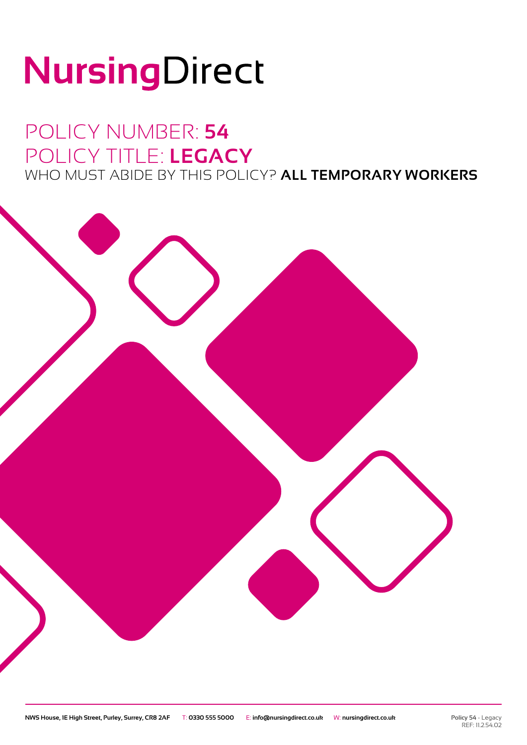# NursingDirect

### POLICY NUMBER: **54** POLICY TITLE: **LEGACY** WHO MUST ABIDE BY THIS POLICY? **ALL TEMPORARY WORKERS**